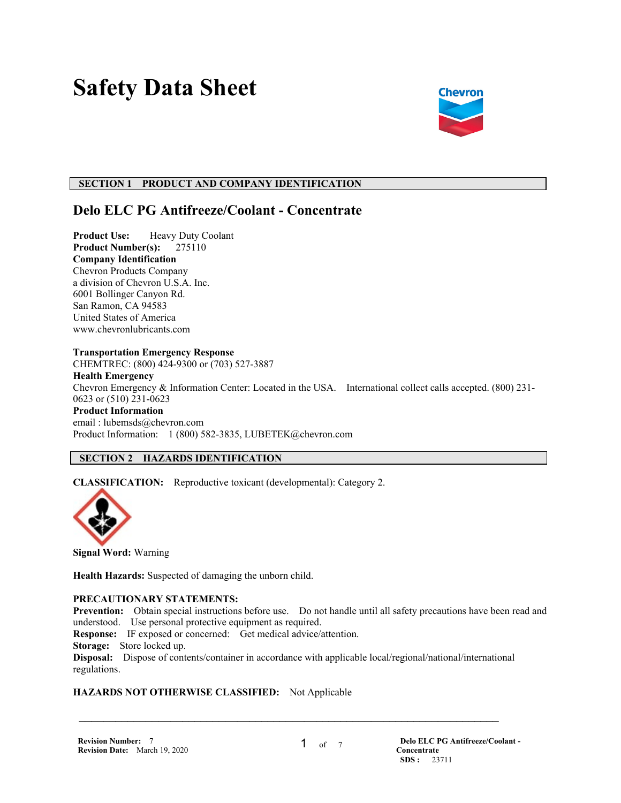# **Safety Data Sheet**



# **SECTION 1 PRODUCT AND COMPANY IDENTIFICATION**

# **Delo ELC PG Antifreeze/Coolant - Concentrate**

**Product Use:** Heavy Duty Coolant **Product Number(s):** 275110 **Company Identification** Chevron Products Company a division of Chevron U.S.A. Inc. 6001 Bollinger Canyon Rd. San Ramon, CA 94583 United States of America www.chevronlubricants.com

#### **Transportation Emergency Response**

CHEMTREC: (800) 424-9300 or (703) 527-3887 **Health Emergency** Chevron Emergency & Information Center: Located in the USA. International collect calls accepted. (800) 231- 0623 or (510) 231-0623 **Product Information** email : lubemsds@chevron.com Product Information: 1 (800) 582-3835, LUBETEK@chevron.com

# **SECTION 2 HAZARDS IDENTIFICATION**

**CLASSIFICATION:** Reproductive toxicant (developmental): Category 2.



**Signal Word:** Warning

**Health Hazards:** Suspected of damaging the unborn child.

#### **PRECAUTIONARY STATEMENTS:**

**Prevention:** Obtain special instructions before use. Do not handle until all safety precautions have been read and understood. Use personal protective equipment as required.

**Response:** IF exposed or concerned: Get medical advice/attention.

**Storage:** Store locked up.

**Disposal:** Dispose of contents/container in accordance with applicable local/regional/national/international regulations.

 $\mathcal{L} = \{ \mathcal{L} \mathcal{L} \mathcal{L} \mathcal{L} \mathcal{L} \mathcal{L} \mathcal{L} \mathcal{L} \mathcal{L} \mathcal{L} \mathcal{L} \mathcal{L} \mathcal{L} \mathcal{L} \mathcal{L} \mathcal{L} \mathcal{L} \mathcal{L} \mathcal{L} \mathcal{L} \mathcal{L} \mathcal{L} \mathcal{L} \mathcal{L} \mathcal{L} \mathcal{L} \mathcal{L} \mathcal{L} \mathcal{L} \mathcal{L} \mathcal{L} \mathcal{L} \mathcal{L} \mathcal{L} \mathcal{L} \$ 

#### **HAZARDS NOT OTHERWISE CLASSIFIED:** Not Applicable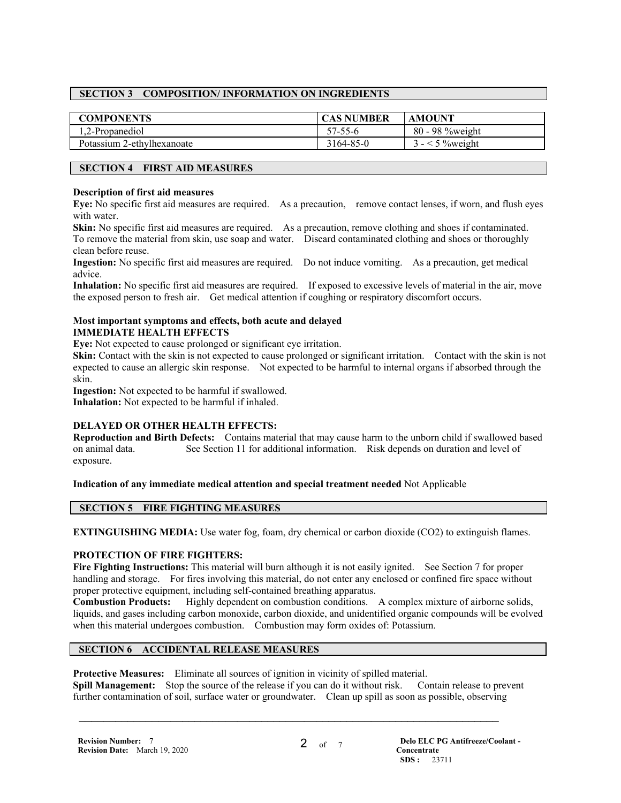# **SECTION 3 COMPOSITION/ INFORMATION ON INGREDIENTS**

| <b>COMPONENTS</b>          | <b>CAS NUMBER</b> | <b>AMOUNT</b>      |
|----------------------------|-------------------|--------------------|
| 1.2-Propanediol            | $57 - 55 - 6$     | $80 - 98$ % weight |
| Potassium 2-ethylhexanoate | 3164-85-0         | $\leq$ 5 % weight  |

# **SECTION 4 FIRST AID MEASURES**

#### **Description of first aid measures**

**Eye:** No specific first aid measures are required. As a precaution, remove contact lenses, if worn, and flush eyes with water.

**Skin:** No specific first aid measures are required. As a precaution, remove clothing and shoes if contaminated. To remove the material from skin, use soap and water. Discard contaminated clothing and shoes or thoroughly clean before reuse.

**Ingestion:** No specific first aid measures are required. Do not induce vomiting. As a precaution, get medical advice.

**Inhalation:** No specific first aid measures are required. If exposed to excessive levels of material in the air, move the exposed person to fresh air. Get medical attention if coughing or respiratory discomfort occurs.

#### **Most important symptoms and effects, both acute and delayed IMMEDIATE HEALTH EFFECTS**

**Eye:** Not expected to cause prolonged or significant eye irritation.

**Skin:** Contact with the skin is not expected to cause prolonged or significant irritation. Contact with the skin is not expected to cause an allergic skin response. Not expected to be harmful to internal organs if absorbed through the skin.

**Ingestion:** Not expected to be harmful if swallowed.

**Inhalation:** Not expected to be harmful if inhaled.

# **DELAYED OR OTHER HEALTH EFFECTS:**

**Reproduction and Birth Defects:** Contains material that may cause harm to the unborn child if swallowed based on animal data. See Section 11 for additional information. Risk depends on duration and level of exposure.

**Indication of any immediate medical attention and special treatment needed** Not Applicable

# **SECTION 5 FIRE FIGHTING MEASURES**

**EXTINGUISHING MEDIA:** Use water fog, foam, dry chemical or carbon dioxide (CO2) to extinguish flames.

#### **PROTECTION OF FIRE FIGHTERS:**

**Fire Fighting Instructions:** This material will burn although it is not easily ignited. See Section 7 for proper handling and storage. For fires involving this material, do not enter any enclosed or confined fire space without proper protective equipment, including self-contained breathing apparatus.

**Combustion Products:** Highly dependent on combustion conditions. A complex mixture of airborne solids, liquids, and gases including carbon monoxide, carbon dioxide, and unidentified organic compounds will be evolved when this material undergoes combustion. Combustion may form oxides of: Potassium.

# **SECTION 6 ACCIDENTAL RELEASE MEASURES**

**Protective Measures:** Eliminate all sources of ignition in vicinity of spilled material.

**Spill Management:** Stop the source of the release if you can do it without risk. Contain release to prevent further contamination of soil, surface water or groundwater. Clean up spill as soon as possible, observing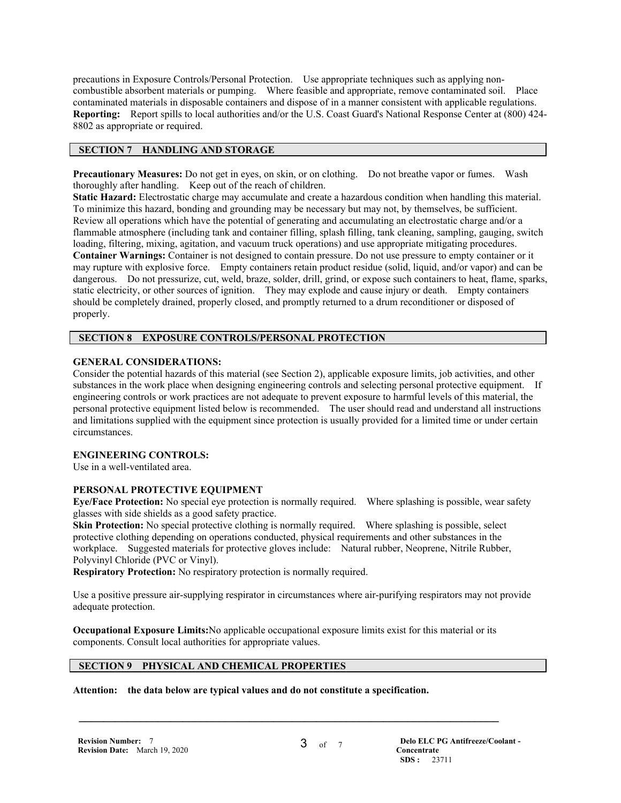precautions in Exposure Controls/Personal Protection. Use appropriate techniques such as applying noncombustible absorbent materials or pumping. Where feasible and appropriate, remove contaminated soil. Place contaminated materials in disposable containers and dispose of in a manner consistent with applicable regulations. **Reporting:** Report spills to local authorities and/or the U.S. Coast Guard's National Response Center at (800) 424- 8802 as appropriate or required.

# **SECTION 7 HANDLING AND STORAGE**

**Precautionary Measures:** Do not get in eyes, on skin, or on clothing. Do not breathe vapor or fumes. Wash thoroughly after handling. Keep out of the reach of children.

**Static Hazard:** Electrostatic charge may accumulate and create a hazardous condition when handling this material. To minimize this hazard, bonding and grounding may be necessary but may not, by themselves, be sufficient. Review all operations which have the potential of generating and accumulating an electrostatic charge and/or a flammable atmosphere (including tank and container filling, splash filling, tank cleaning, sampling, gauging, switch loading, filtering, mixing, agitation, and vacuum truck operations) and use appropriate mitigating procedures. **Container Warnings:** Container is not designed to contain pressure. Do not use pressure to empty container or it may rupture with explosive force. Empty containers retain product residue (solid, liquid, and/or vapor) and can be dangerous. Do not pressurize, cut, weld, braze, solder, drill, grind, or expose such containers to heat, flame, sparks, static electricity, or other sources of ignition. They may explode and cause injury or death. Empty containers should be completely drained, properly closed, and promptly returned to a drum reconditioner or disposed of properly.

# **SECTION 8 EXPOSURE CONTROLS/PERSONAL PROTECTION**

# **GENERAL CONSIDERATIONS:**

Consider the potential hazards of this material (see Section 2), applicable exposure limits, job activities, and other substances in the work place when designing engineering controls and selecting personal protective equipment. If engineering controls or work practices are not adequate to prevent exposure to harmful levels of this material, the personal protective equipment listed below is recommended. The user should read and understand all instructions and limitations supplied with the equipment since protection is usually provided for a limited time or under certain circumstances.

#### **ENGINEERING CONTROLS:**

Use in a well-ventilated area.

# **PERSONAL PROTECTIVE EQUIPMENT**

**Eye/Face Protection:** No special eye protection is normally required. Where splashing is possible, wear safety glasses with side shields as a good safety practice.

**Skin Protection:** No special protective clothing is normally required. Where splashing is possible, select protective clothing depending on operations conducted, physical requirements and other substances in the workplace. Suggested materials for protective gloves include: Natural rubber, Neoprene, Nitrile Rubber, Polyvinyl Chloride (PVC or Vinyl).

**Respiratory Protection:** No respiratory protection is normally required.

Use a positive pressure air-supplying respirator in circumstances where air-purifying respirators may not provide adequate protection.

**Occupational Exposure Limits:**No applicable occupational exposure limits exist for this material or its components. Consult local authorities for appropriate values.

 $\mathcal{L} = \{ \mathcal{L} \mathcal{L} \mathcal{L} \mathcal{L} \mathcal{L} \mathcal{L} \mathcal{L} \mathcal{L} \mathcal{L} \mathcal{L} \mathcal{L} \mathcal{L} \mathcal{L} \mathcal{L} \mathcal{L} \mathcal{L} \mathcal{L} \mathcal{L} \mathcal{L} \mathcal{L} \mathcal{L} \mathcal{L} \mathcal{L} \mathcal{L} \mathcal{L} \mathcal{L} \mathcal{L} \mathcal{L} \mathcal{L} \mathcal{L} \mathcal{L} \mathcal{L} \mathcal{L} \mathcal{L} \mathcal{L} \$ 

# **SECTION 9 PHYSICAL AND CHEMICAL PROPERTIES**

**Attention: the data below are typical values and do not constitute a specification.**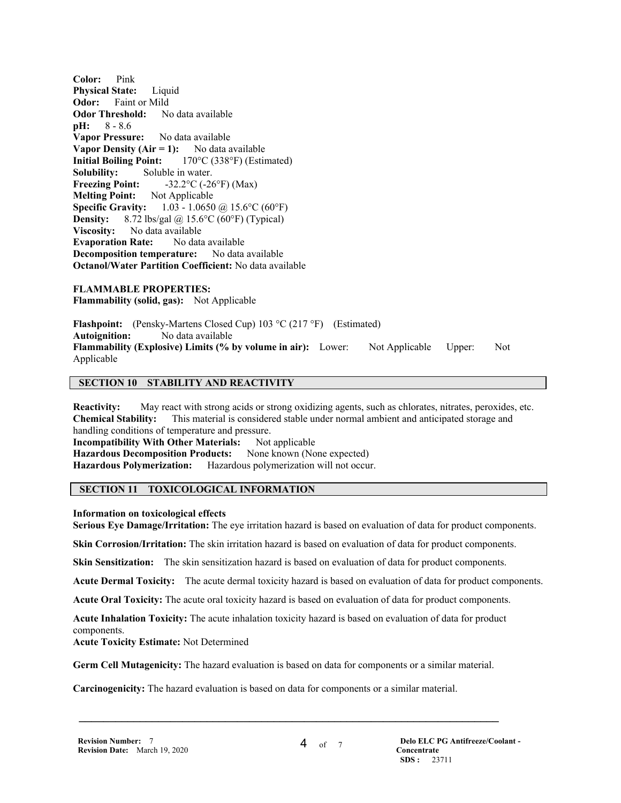**Color:** Pink **Physical State:** Liquid **Odor:** Faint or Mild **Odor Threshold:** No data available **pH:** 8 - 8.6 **Vapor Pressure:** No data available **Vapor Density (Air = 1):** No data available **Initial Boiling Point:** 170°C (338°F) (Estimated) **Solubility:** Soluble in water. **Freezing Point:**  $-32.2^{\circ}C (-26^{\circ}F) (Max)$ **Melting Point:** Not Applicable **Specific Gravity:** 1.03 - 1.0650 @ 15.6°C (60°F) **Density:** 8.72 lbs/gal  $\omega$  15.6°C (60°F) (Typical) **Viscosity:** No data available<br>**Evanoration Rate:** No data available **Evaporation Rate: Decomposition temperature:** No data available **Octanol/Water Partition Coefficient:** No data available

**FLAMMABLE PROPERTIES: Flammability (solid, gas):** Not Applicable

**Flashpoint:** (Pensky-Martens Closed Cup) 103 °C (217 °F) (Estimated) **Autoignition:** No data available **Flammability (Explosive) Limits (% by volume in air):** Lower: Not Applicable Upper: Not Applicable

#### **SECTION 10 STABILITY AND REACTIVITY**

**Reactivity:** May react with strong acids or strong oxidizing agents, such as chlorates, nitrates, peroxides, etc. **Chemical Stability:** This material is considered stable under normal ambient and anticipated storage and handling conditions of temperature and pressure. **Incompatibility With Other Materials:** Not applicable **Hazardous Decomposition Products:** None known (None expected) **Hazardous Polymerization:** Hazardous polymerization will not occur.

# **SECTION 11 TOXICOLOGICAL INFORMATION**

**Information on toxicological effects**

**Serious Eye Damage/Irritation:** The eye irritation hazard is based on evaluation of data for product components.

**Skin Corrosion/Irritation:** The skin irritation hazard is based on evaluation of data for product components.

**Skin Sensitization:** The skin sensitization hazard is based on evaluation of data for product components.

**Acute Dermal Toxicity:** The acute dermal toxicity hazard is based on evaluation of data for product components.

**Acute Oral Toxicity:** The acute oral toxicity hazard is based on evaluation of data for product components.

**Acute Inhalation Toxicity:** The acute inhalation toxicity hazard is based on evaluation of data for product components.

**Acute Toxicity Estimate:** Not Determined

**Germ Cell Mutagenicity:** The hazard evaluation is based on data for components or a similar material.

 $\mathcal{L} = \{ \mathcal{L} \mathcal{L} \mathcal{L} \mathcal{L} \mathcal{L} \mathcal{L} \mathcal{L} \mathcal{L} \mathcal{L} \mathcal{L} \mathcal{L} \mathcal{L} \mathcal{L} \mathcal{L} \mathcal{L} \mathcal{L} \mathcal{L} \mathcal{L} \mathcal{L} \mathcal{L} \mathcal{L} \mathcal{L} \mathcal{L} \mathcal{L} \mathcal{L} \mathcal{L} \mathcal{L} \mathcal{L} \mathcal{L} \mathcal{L} \mathcal{L} \mathcal{L} \mathcal{L} \mathcal{L} \mathcal{L} \$ 

**Carcinogenicity:** The hazard evaluation is based on data for components or a similar material.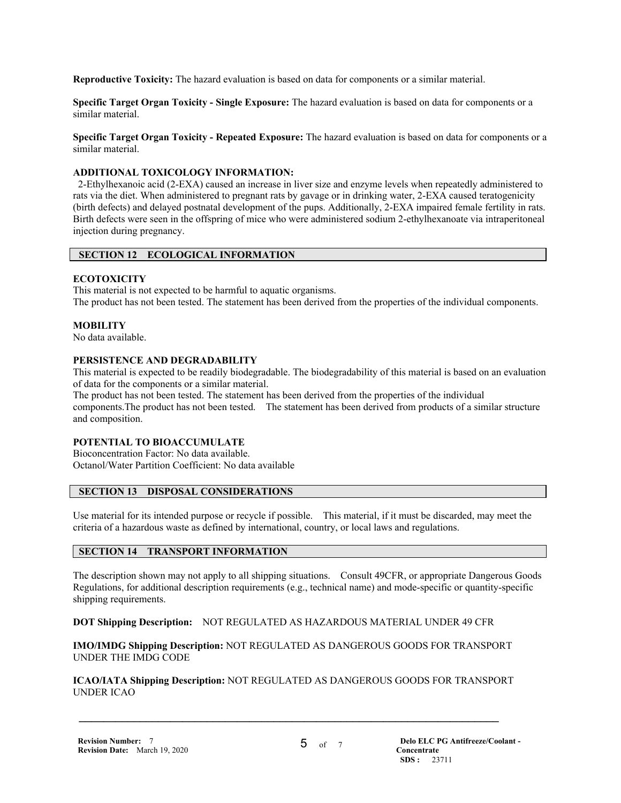**Reproductive Toxicity:** The hazard evaluation is based on data for components or a similar material.

**Specific Target Organ Toxicity - Single Exposure:** The hazard evaluation is based on data for components or a similar material.

**Specific Target Organ Toxicity - Repeated Exposure:** The hazard evaluation is based on data for components or a similar material.

#### **ADDITIONAL TOXICOLOGY INFORMATION:**

 2-Ethylhexanoic acid (2-EXA) caused an increase in liver size and enzyme levels when repeatedly administered to rats via the diet. When administered to pregnant rats by gavage or in drinking water, 2-EXA caused teratogenicity (birth defects) and delayed postnatal development of the pups. Additionally, 2-EXA impaired female fertility in rats. Birth defects were seen in the offspring of mice who were administered sodium 2-ethylhexanoate via intraperitoneal injection during pregnancy.

# **SECTION 12 ECOLOGICAL INFORMATION**

#### **ECOTOXICITY**

This material is not expected to be harmful to aquatic organisms. The product has not been tested. The statement has been derived from the properties of the individual components.

#### **MOBILITY**

No data available.

#### **PERSISTENCE AND DEGRADABILITY**

This material is expected to be readily biodegradable. The biodegradability of this material is based on an evaluation of data for the components or a similar material.

The product has not been tested. The statement has been derived from the properties of the individual components.The product has not been tested. The statement has been derived from products of a similar structure and composition.

#### **POTENTIAL TO BIOACCUMULATE**

Bioconcentration Factor: No data available. Octanol/Water Partition Coefficient: No data available

# **SECTION 13 DISPOSAL CONSIDERATIONS**

Use material for its intended purpose or recycle if possible. This material, if it must be discarded, may meet the criteria of a hazardous waste as defined by international, country, or local laws and regulations.

# **SECTION 14 TRANSPORT INFORMATION**

The description shown may not apply to all shipping situations. Consult 49CFR, or appropriate Dangerous Goods Regulations, for additional description requirements (e.g., technical name) and mode-specific or quantity-specific shipping requirements.

**DOT Shipping Description:** NOT REGULATED AS HAZARDOUS MATERIAL UNDER 49 CFR

**IMO/IMDG Shipping Description:** NOT REGULATED AS DANGEROUS GOODS FOR TRANSPORT UNDER THE IMDG CODE

**ICAO/IATA Shipping Description:** NOT REGULATED AS DANGEROUS GOODS FOR TRANSPORT UNDER ICAO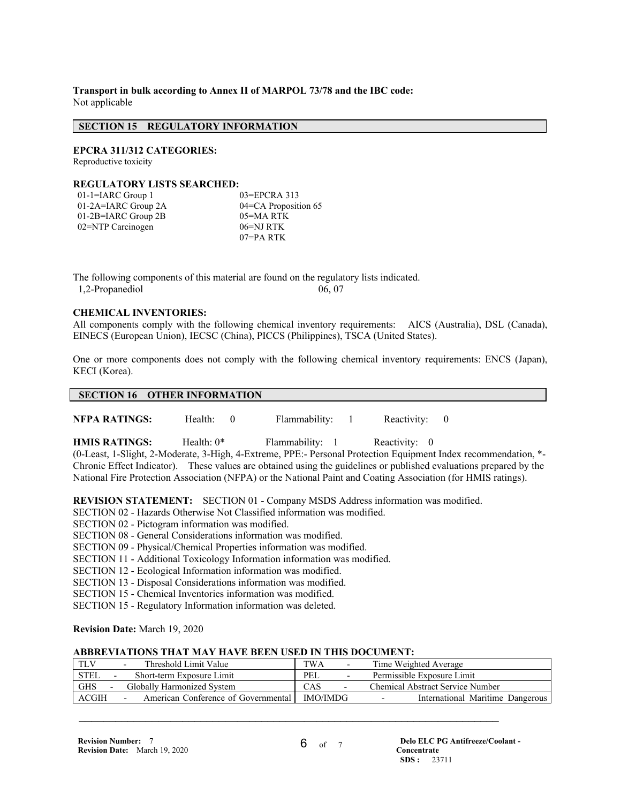**Transport in bulk according to Annex II of MARPOL 73/78 and the IBC code:** Not applicable

#### **SECTION 15 REGULATORY INFORMATION**

**EPCRA 311/312 CATEGORIES:** 

Reproductive toxicity

#### **REGULATORY LISTS SEARCHED:**

| $01$ -1=IARC Group 1  | $03 = EPCRA$ 313     |
|-----------------------|----------------------|
| 01-2A=IARC Group 2A   | 04=CA Proposition 65 |
| $01-2B=IARC$ Group 2B | 05=MARTK             |
| 02=NTP Carcinogen     | 06=NJ RTK            |
|                       | $07 = PA$ RTK        |

The following components of this material are found on the regulatory lists indicated. 1,2-Propanediol 06, 07

#### **CHEMICAL INVENTORIES:**

All components comply with the following chemical inventory requirements: AICS (Australia), DSL (Canada), EINECS (European Union), IECSC (China), PICCS (Philippines), TSCA (United States).

One or more components does not comply with the following chemical inventory requirements: ENCS (Japan), KECI (Korea).

# **SECTION 16 OTHER INFORMATION**

**NFPA RATINGS:** Health: 0 Flammability: 1 Reactivity: 0

**HMIS RATINGS:** Health: 0\* Flammability: 1 Reactivity: 0

(0-Least, 1-Slight, 2-Moderate, 3-High, 4-Extreme, PPE:- Personal Protection Equipment Index recommendation, \*- Chronic Effect Indicator). These values are obtained using the guidelines or published evaluations prepared by the National Fire Protection Association (NFPA) or the National Paint and Coating Association (for HMIS ratings).

**REVISION STATEMENT:** SECTION 01 - Company MSDS Address information was modified.

SECTION 02 - Hazards Otherwise Not Classified information was modified.

SECTION 02 - Pictogram information was modified.

SECTION 08 - General Considerations information was modified.

SECTION 09 - Physical/Chemical Properties information was modified.

SECTION 11 - Additional Toxicology Information information was modified.

SECTION 12 - Ecological Information information was modified.

SECTION 13 - Disposal Considerations information was modified.

SECTION 15 - Chemical Inventories information was modified.

SECTION 15 - Regulatory Information information was deleted.

# **Revision Date:** March 19, 2020

# **ABBREVIATIONS THAT MAY HAVE BEEN USED IN THIS DOCUMENT:**

| Threshold Limit Value<br>$\overline{\phantom{0}}$                    | TWA                                                    |                          | Time Weighted Average                                        |  |
|----------------------------------------------------------------------|--------------------------------------------------------|--------------------------|--------------------------------------------------------------|--|
| STEL<br>Short-term Exposure Limit                                    | PEL                                                    |                          | Permissible Exposure Limit                                   |  |
| <b>GHS</b><br>Globally Harmonized System<br>$\overline{\phantom{0}}$ | CAS                                                    | $\overline{\phantom{a}}$ | Chemical Abstract Service Number                             |  |
| ACGIH<br>$\overline{\phantom{0}}$                                    | <b>IMO/IMDG</b><br>American Conference of Governmental |                          | International Maritime Dangerous<br>$\overline{\phantom{0}}$ |  |